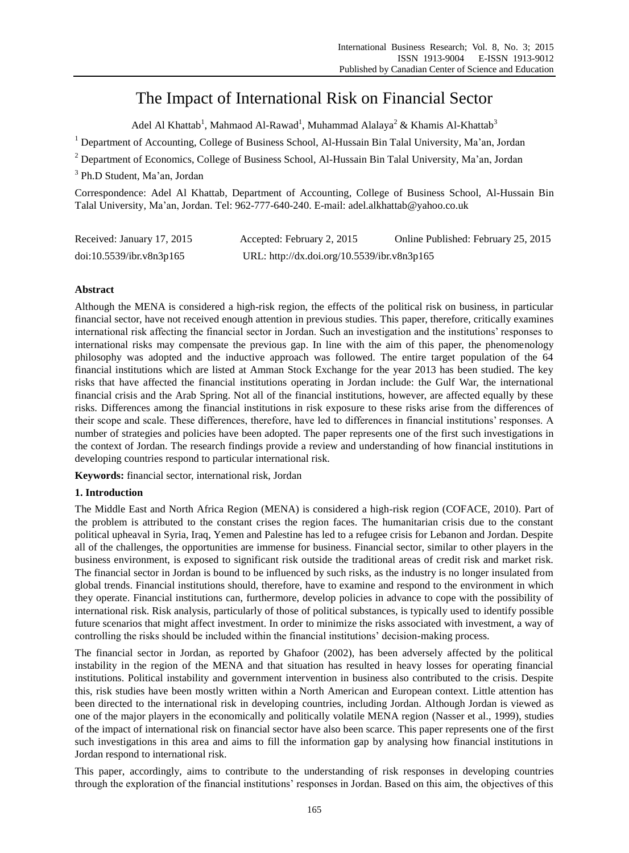# The Impact of International Risk on Financial Sector

Adel Al Khattab<sup>1</sup>, Mahmaod Al-Rawad<sup>1</sup>, Muhammad Alalaya<sup>2</sup> & Khamis Al-Khattab<sup>3</sup>

<sup>1</sup> Department of Accounting, College of Business School, Al-Hussain Bin Talal University, Ma'an, Jordan

<sup>2</sup> Department of Economics, College of Business School, Al-Hussain Bin Talal University, Ma'an, Jordan

3 Ph.D Student, Ma'an, Jordan

Correspondence: Adel Al Khattab, Department of Accounting, College of Business School, Al-Hussain Bin Talal University, Ma'an, Jordan. Tel: 962-777-640-240. E-mail: adel.alkhattab@yahoo.co.uk

| Received: January 17, 2015 | Accepted: February 2, 2015                  | Online Published: February 25, 2015 |
|----------------------------|---------------------------------------------|-------------------------------------|
| doi:10.5539/ibr.v8n3p165   | URL: http://dx.doi.org/10.5539/ibr.v8n3p165 |                                     |

# **Abstract**

Although the MENA is considered a high-risk region, the effects of the political risk on business, in particular financial sector, have not received enough attention in previous studies. This paper, therefore, critically examines international risk affecting the financial sector in Jordan. Such an investigation and the institutions' responses to international risks may compensate the previous gap. In line with the aim of this paper, the phenomenology philosophy was adopted and the inductive approach was followed. The entire target population of the 64 financial institutions which are listed at Amman Stock Exchange for the year 2013 has been studied. The key risks that have affected the financial institutions operating in Jordan include: the Gulf War, the international financial crisis and the Arab Spring. Not all of the financial institutions, however, are affected equally by these risks. Differences among the financial institutions in risk exposure to these risks arise from the differences of their scope and scale. These differences, therefore, have led to differences in financial institutions' responses. A number of strategies and policies have been adopted. The paper represents one of the first such investigations in the context of Jordan. The research findings provide a review and understanding of how financial institutions in developing countries respond to particular international risk.

**Keywords:** financial sector, international risk, Jordan

## **1. Introduction**

The Middle East and North Africa Region (MENA) is considered a high-risk region (COFACE, 2010). Part of the problem is attributed to the constant crises the region faces. The humanitarian crisis due to the constant political upheaval in Syria, Iraq, Yemen and Palestine has led to a refugee crisis for Lebanon and Jordan. Despite all of the challenges, the opportunities are immense for business. Financial sector, similar to other players in the business environment, is exposed to significant risk outside the traditional areas of credit risk and market risk. The financial sector in Jordan is bound to be influenced by such risks, as the industry is no longer insulated from global trends. Financial institutions should, therefore, have to examine and respond to the environment in which they operate. Financial institutions can, furthermore, develop policies in advance to cope with the possibility of international risk. Risk analysis, particularly of those of political substances, is typically used to identify possible future scenarios that might affect investment. In order to minimize the risks associated with investment, a way of controlling the risks should be included within the financial institutions' decision-making process.

The financial sector in Jordan, as reported by Ghafoor (2002), has been adversely affected by the political instability in the region of the MENA and that situation has resulted in heavy losses for operating financial institutions. Political instability and government intervention in business also contributed to the crisis. Despite this, risk studies have been mostly written within a North American and European context. Little attention has been directed to the international risk in developing countries, including Jordan. Although Jordan is viewed as one of the major players in the economically and politically volatile MENA region (Nasser et al., 1999), studies of the impact of international risk on financial sector have also been scarce. This paper represents one of the first such investigations in this area and aims to fill the information gap by analysing how financial institutions in Jordan respond to international risk.

This paper, accordingly, aims to contribute to the understanding of risk responses in developing countries through the exploration of the financial institutions' responses in Jordan. Based on this aim, the objectives of this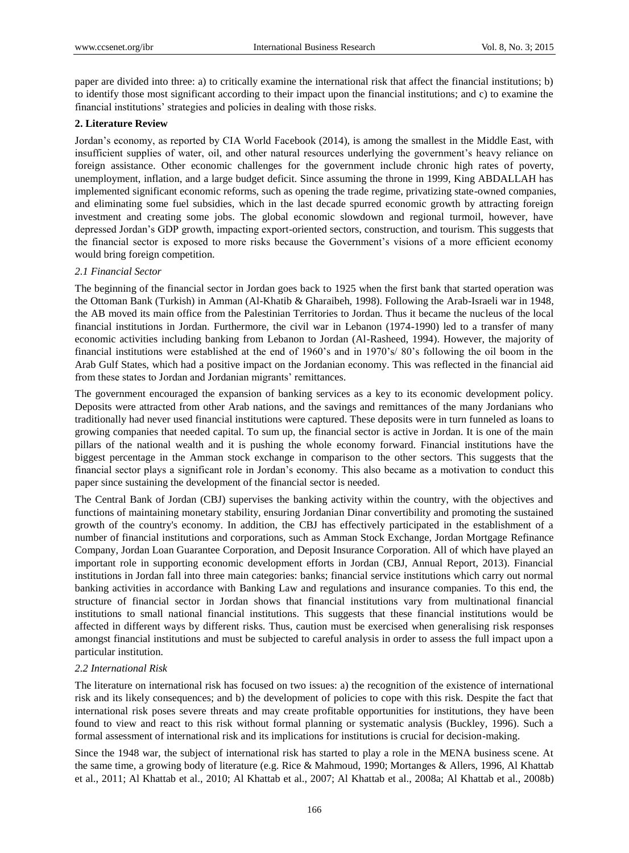paper are divided into three: a) to critically examine the international risk that affect the financial institutions; b) to identify those most significant according to their impact upon the financial institutions; and c) to examine the financial institutions' strategies and policies in dealing with those risks.

## **2. Literature Review**

Jordan's economy, as reported by CIA World Facebook (2014), is among the smallest in the Middle East, with insufficient supplies of water, oil, and other natural resources underlying the government's heavy reliance on foreign assistance. Other economic challenges for the government include chronic high rates of poverty, unemployment, inflation, and a large budget deficit. Since assuming the throne in 1999, King ABDALLAH has implemented significant economic reforms, such as opening the trade regime, privatizing state-owned companies, and eliminating some fuel subsidies, which in the last decade spurred economic growth by attracting foreign investment and creating some jobs. The global economic slowdown and regional turmoil, however, have depressed Jordan's GDP growth, impacting export-oriented sectors, construction, and tourism. This suggests that the financial sector is exposed to more risks because the Government's visions of a more efficient economy would bring foreign competition.

#### *2.1 Financial Sector*

The beginning of the financial sector in Jordan goes back to 1925 when the first bank that started operation was the Ottoman Bank (Turkish) in Amman (Al-Khatib & Gharaibeh, 1998). Following the Arab-Israeli war in 1948, the AB moved its main office from the Palestinian Territories to Jordan. Thus it became the nucleus of the local financial institutions in Jordan. Furthermore, the civil war in Lebanon (1974-1990) led to a transfer of many economic activities including banking from Lebanon to Jordan (Al-Rasheed, 1994). However, the majority of financial institutions were established at the end of 1960's and in 1970's/ 80's following the oil boom in the Arab Gulf States, which had a positive impact on the Jordanian economy. This was reflected in the financial aid from these states to Jordan and Jordanian migrants' remittances.

The government encouraged the expansion of banking services as a key to its economic development policy. Deposits were attracted from other Arab nations, and the savings and remittances of the many Jordanians who traditionally had never used financial institutions were captured. These deposits were in turn funneled as loans to growing companies that needed capital. To sum up, the financial sector is active in Jordan. It is one of the main pillars of the national wealth and it is pushing the whole economy forward. Financial institutions have the biggest percentage in the Amman stock exchange in comparison to the other sectors. This suggests that the financial sector plays a significant role in Jordan's economy. This also became as a motivation to conduct this paper since sustaining the development of the financial sector is needed.

The Central Bank of Jordan (CBJ) supervises the banking activity within the country, with the objectives and functions of maintaining monetary stability, ensuring Jordanian Dinar convertibility and promoting the sustained growth of the country's economy. In addition, the CBJ has effectively participated in the establishment of a number of financial institutions and corporations, such as Amman Stock Exchange, Jordan Mortgage Refinance Company, Jordan Loan Guarantee Corporation, and Deposit Insurance Corporation. All of which have played an important role in supporting economic development efforts in Jordan (CBJ, Annual Report, 2013). Financial institutions in Jordan fall into three main categories: banks; financial service institutions which carry out normal banking activities in accordance with Banking Law and regulations and insurance companies. To this end, the structure of financial sector in Jordan shows that financial institutions vary from multinational financial institutions to small national financial institutions. This suggests that these financial institutions would be affected in different ways by different risks. Thus, caution must be exercised when generalising risk responses amongst financial institutions and must be subjected to careful analysis in order to assess the full impact upon a particular institution.

#### *2.2 International Risk*

The literature on international risk has focused on two issues: a) the recognition of the existence of international risk and its likely consequences; and b) the development of policies to cope with this risk. Despite the fact that international risk poses severe threats and may create profitable opportunities for institutions, they have been found to view and react to this risk without formal planning or systematic analysis (Buckley, 1996). Such a formal assessment of international risk and its implications for institutions is crucial for decision-making.

Since the 1948 war, the subject of international risk has started to play a role in the MENA business scene. At the same time, a growing body of literature (e.g. Rice & Mahmoud, 1990; Mortanges & Allers, 1996, Al Khattab et al., 2011; Al Khattab et al., 2010; Al Khattab et al., 2007; Al Khattab et al., 2008a; Al Khattab et al., 2008b)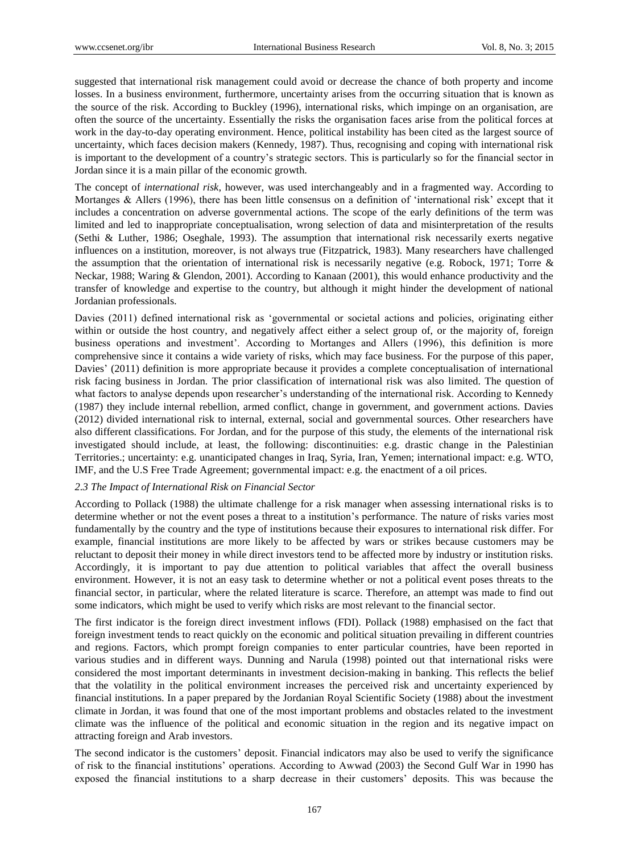suggested that international risk management could avoid or decrease the chance of both property and income losses. In a business environment, furthermore, uncertainty arises from the occurring situation that is known as the source of the risk. According to Buckley (1996), international risks, which impinge on an organisation, are often the source of the uncertainty. Essentially the risks the organisation faces arise from the political forces at work in the day-to-day operating environment. Hence, political instability has been cited as the largest source of uncertainty, which faces decision makers (Kennedy, 1987). Thus, recognising and coping with international risk is important to the development of a country's strategic sectors. This is particularly so for the financial sector in Jordan since it is a main pillar of the economic growth.

The concept of *international risk*, however, was used interchangeably and in a fragmented way. According to Mortanges & Allers (1996), there has been little consensus on a definition of 'international risk' except that it includes a concentration on adverse governmental actions. The scope of the early definitions of the term was limited and led to inappropriate conceptualisation, wrong selection of data and misinterpretation of the results (Sethi & Luther, 1986; Oseghale, 1993). The assumption that international risk necessarily exerts negative influences on a institution, moreover, is not always true (Fitzpatrick, 1983). Many researchers have challenged the assumption that the orientation of international risk is necessarily negative (e.g. Robock, 1971; Torre & Neckar, 1988; Waring & Glendon, 2001). According to Kanaan (2001), this would enhance productivity and the transfer of knowledge and expertise to the country, but although it might hinder the development of national Jordanian professionals.

Davies (2011) defined international risk as 'governmental or societal actions and policies, originating either within or outside the host country, and negatively affect either a select group of, or the majority of, foreign business operations and investment'. According to Mortanges and Allers (1996), this definition is more comprehensive since it contains a wide variety of risks, which may face business. For the purpose of this paper, Davies' (2011) definition is more appropriate because it provides a complete conceptualisation of international risk facing business in Jordan. The prior classification of international risk was also limited. The question of what factors to analyse depends upon researcher's understanding of the international risk. According to Kennedy (1987) they include internal rebellion, armed conflict, change in government, and government actions. Davies (2012) divided international risk to internal, external, social and governmental sources. Other researchers have also different classifications. For Jordan, and for the purpose of this study, the elements of the international risk investigated should include, at least, the following: discontinuities: e.g. drastic change in the Palestinian Territories.; uncertainty: e.g. unanticipated changes in Iraq, Syria, Iran, Yemen; international impact: e.g. WTO, IMF, and the U.S Free Trade Agreement; governmental impact: e.g. the enactment of a oil prices.

#### *2.3 The Impact of International Risk on Financial Sector*

According to Pollack (1988) the ultimate challenge for a risk manager when assessing international risks is to determine whether or not the event poses a threat to a institution's performance. The nature of risks varies most fundamentally by the country and the type of institutions because their exposures to international risk differ. For example, financial institutions are more likely to be affected by wars or strikes because customers may be reluctant to deposit their money in while direct investors tend to be affected more by industry or institution risks. Accordingly, it is important to pay due attention to political variables that affect the overall business environment. However, it is not an easy task to determine whether or not a political event poses threats to the financial sector, in particular, where the related literature is scarce. Therefore, an attempt was made to find out some indicators, which might be used to verify which risks are most relevant to the financial sector.

The first indicator is the foreign direct investment inflows (FDI). Pollack (1988) emphasised on the fact that foreign investment tends to react quickly on the economic and political situation prevailing in different countries and regions. Factors, which prompt foreign companies to enter particular countries, have been reported in various studies and in different ways. Dunning and Narula (1998) pointed out that international risks were considered the most important determinants in investment decision-making in banking. This reflects the belief that the volatility in the political environment increases the perceived risk and uncertainty experienced by financial institutions. In a paper prepared by the Jordanian Royal Scientific Society (1988) about the investment climate in Jordan, it was found that one of the most important problems and obstacles related to the investment climate was the influence of the political and economic situation in the region and its negative impact on attracting foreign and Arab investors.

The second indicator is the customers' deposit. Financial indicators may also be used to verify the significance of risk to the financial institutions' operations. According to Awwad (2003) the Second Gulf War in 1990 has exposed the financial institutions to a sharp decrease in their customers' deposits. This was because the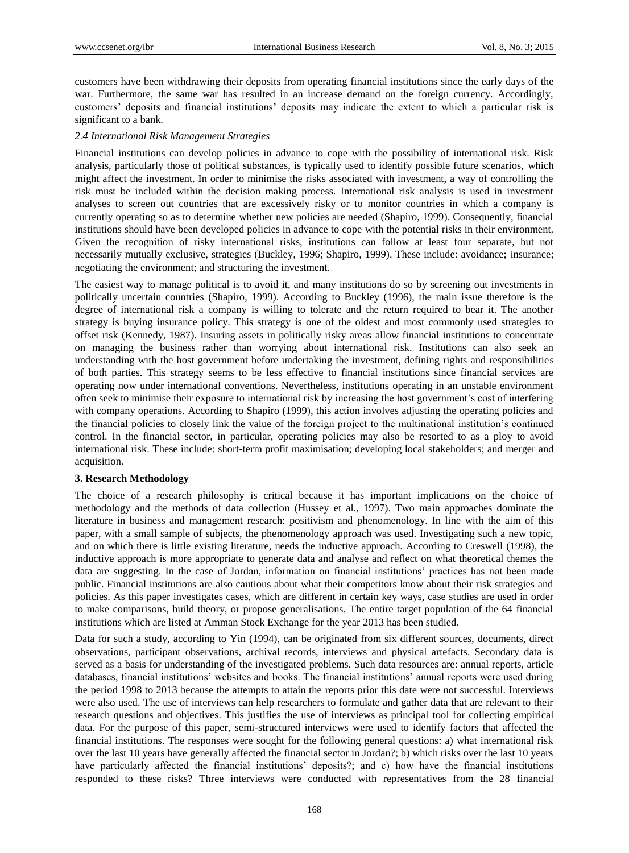customers have been withdrawing their deposits from operating financial institutions since the early days of the war. Furthermore, the same war has resulted in an increase demand on the foreign currency. Accordingly, customers' deposits and financial institutions' deposits may indicate the extent to which a particular risk is significant to a bank.

#### *2.4 International Risk Management Strategies*

Financial institutions can develop policies in advance to cope with the possibility of international risk. Risk analysis, particularly those of political substances, is typically used to identify possible future scenarios, which might affect the investment. In order to minimise the risks associated with investment, a way of controlling the risk must be included within the decision making process. International risk analysis is used in investment analyses to screen out countries that are excessively risky or to monitor countries in which a company is currently operating so as to determine whether new policies are needed (Shapiro, 1999). Consequently, financial institutions should have been developed policies in advance to cope with the potential risks in their environment. Given the recognition of risky international risks, institutions can follow at least four separate, but not necessarily mutually exclusive, strategies (Buckley, 1996; Shapiro, 1999). These include: avoidance; insurance; negotiating the environment; and structuring the investment.

The easiest way to manage political is to avoid it, and many institutions do so by screening out investments in politically uncertain countries (Shapiro, 1999). According to Buckley (1996), the main issue therefore is the degree of international risk a company is willing to tolerate and the return required to bear it. The another strategy is buying insurance policy. This strategy is one of the oldest and most commonly used strategies to offset risk (Kennedy, 1987). Insuring assets in politically risky areas allow financial institutions to concentrate on managing the business rather than worrying about international risk. Institutions can also seek an understanding with the host government before undertaking the investment, defining rights and responsibilities of both parties. This strategy seems to be less effective to financial institutions since financial services are operating now under international conventions. Nevertheless, institutions operating in an unstable environment often seek to minimise their exposure to international risk by increasing the host government's cost of interfering with company operations. According to Shapiro (1999), this action involves adjusting the operating policies and the financial policies to closely link the value of the foreign project to the multinational institution's continued control. In the financial sector, in particular, operating policies may also be resorted to as a ploy to avoid international risk. These include: short-term profit maximisation; developing local stakeholders; and merger and acquisition.

#### **3. Research Methodology**

The choice of a research philosophy is critical because it has important implications on the choice of methodology and the methods of data collection (Hussey et al., 1997). Two main approaches dominate the literature in business and management research: positivism and phenomenology. In line with the aim of this paper, with a small sample of subjects, the phenomenology approach was used. Investigating such a new topic, and on which there is little existing literature, needs the inductive approach. According to Creswell (1998), the inductive approach is more appropriate to generate data and analyse and reflect on what theoretical themes the data are suggesting. In the case of Jordan, information on financial institutions' practices has not been made public. Financial institutions are also cautious about what their competitors know about their risk strategies and policies. As this paper investigates cases, which are different in certain key ways, case studies are used in order to make comparisons, build theory, or propose generalisations. The entire target population of the 64 financial institutions which are listed at Amman Stock Exchange for the year 2013 has been studied.

Data for such a study, according to Yin (1994), can be originated from six different sources, documents, direct observations, participant observations, archival records, interviews and physical artefacts. Secondary data is served as a basis for understanding of the investigated problems. Such data resources are: annual reports, article databases, financial institutions' websites and books. The financial institutions' annual reports were used during the period 1998 to 2013 because the attempts to attain the reports prior this date were not successful. Interviews were also used. The use of interviews can help researchers to formulate and gather data that are relevant to their research questions and objectives. This justifies the use of interviews as principal tool for collecting empirical data. For the purpose of this paper, semi-structured interviews were used to identify factors that affected the financial institutions. The responses were sought for the following general questions: a) what international risk over the last 10 years have generally affected the financial sector in Jordan?; b) which risks over the last 10 years have particularly affected the financial institutions' deposits?; and c) how have the financial institutions responded to these risks? Three interviews were conducted with representatives from the 28 financial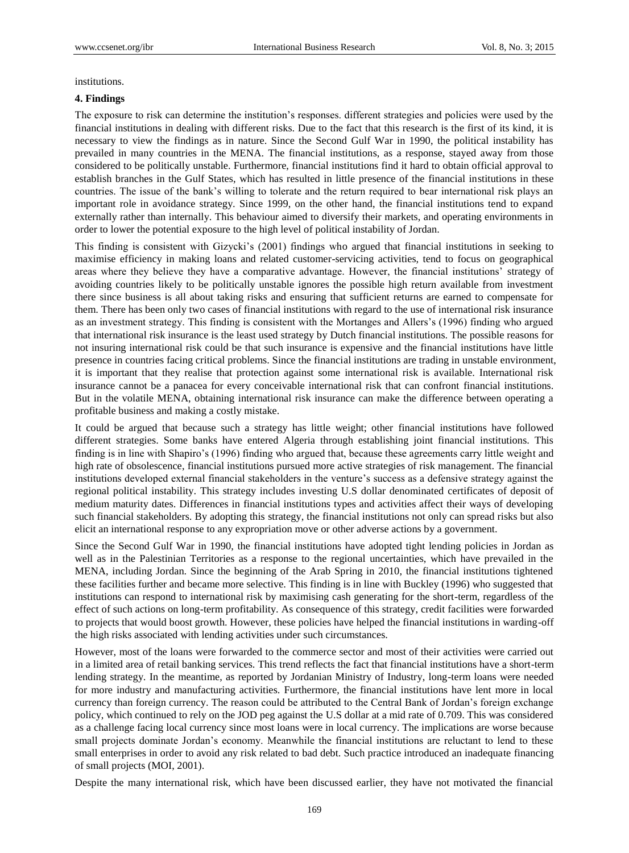institutions.

#### **4. Findings**

The exposure to risk can determine the institution's responses. different strategies and policies were used by the financial institutions in dealing with different risks. Due to the fact that this research is the first of its kind, it is necessary to view the findings as in nature. Since the Second Gulf War in 1990, the political instability has prevailed in many countries in the MENA. The financial institutions, as a response, stayed away from those considered to be politically unstable. Furthermore, financial institutions find it hard to obtain official approval to establish branches in the Gulf States, which has resulted in little presence of the financial institutions in these countries. The issue of the bank's willing to tolerate and the return required to bear international risk plays an important role in avoidance strategy. Since 1999, on the other hand, the financial institutions tend to expand externally rather than internally. This behaviour aimed to diversify their markets, and operating environments in order to lower the potential exposure to the high level of political instability of Jordan.

This finding is consistent with Gizycki's (2001) findings who argued that financial institutions in seeking to maximise efficiency in making loans and related customer-servicing activities, tend to focus on geographical areas where they believe they have a comparative advantage. However, the financial institutions' strategy of avoiding countries likely to be politically unstable ignores the possible high return available from investment there since business is all about taking risks and ensuring that sufficient returns are earned to compensate for them. There has been only two cases of financial institutions with regard to the use of international risk insurance as an investment strategy. This finding is consistent with the Mortanges and Allers's (1996) finding who argued that international risk insurance is the least used strategy by Dutch financial institutions. The possible reasons for not insuring international risk could be that such insurance is expensive and the financial institutions have little presence in countries facing critical problems. Since the financial institutions are trading in unstable environment, it is important that they realise that protection against some international risk is available. International risk insurance cannot be a panacea for every conceivable international risk that can confront financial institutions. But in the volatile MENA, obtaining international risk insurance can make the difference between operating a profitable business and making a costly mistake.

It could be argued that because such a strategy has little weight; other financial institutions have followed different strategies. Some banks have entered Algeria through establishing joint financial institutions. This finding is in line with Shapiro's (1996) finding who argued that, because these agreements carry little weight and high rate of obsolescence, financial institutions pursued more active strategies of risk management. The financial institutions developed external financial stakeholders in the venture's success as a defensive strategy against the regional political instability. This strategy includes investing U.S dollar denominated certificates of deposit of medium maturity dates. Differences in financial institutions types and activities affect their ways of developing such financial stakeholders. By adopting this strategy, the financial institutions not only can spread risks but also elicit an international response to any expropriation move or other adverse actions by a government.

Since the Second Gulf War in 1990, the financial institutions have adopted tight lending policies in Jordan as well as in the Palestinian Territories as a response to the regional uncertainties, which have prevailed in the MENA, including Jordan. Since the beginning of the Arab Spring in 2010, the financial institutions tightened these facilities further and became more selective. This finding is in line with Buckley (1996) who suggested that institutions can respond to international risk by maximising cash generating for the short-term, regardless of the effect of such actions on long-term profitability. As consequence of this strategy, credit facilities were forwarded to projects that would boost growth. However, these policies have helped the financial institutions in warding-off the high risks associated with lending activities under such circumstances.

However, most of the loans were forwarded to the commerce sector and most of their activities were carried out in a limited area of retail banking services. This trend reflects the fact that financial institutions have a short-term lending strategy. In the meantime, as reported by Jordanian Ministry of Industry, long-term loans were needed for more industry and manufacturing activities. Furthermore, the financial institutions have lent more in local currency than foreign currency. The reason could be attributed to the Central Bank of Jordan's foreign exchange policy, which continued to rely on the JOD peg against the U.S dollar at a mid rate of 0.709. This was considered as a challenge facing local currency since most loans were in local currency. The implications are worse because small projects dominate Jordan's economy. Meanwhile the financial institutions are reluctant to lend to these small enterprises in order to avoid any risk related to bad debt. Such practice introduced an inadequate financing of small projects (MOI, 2001).

Despite the many international risk, which have been discussed earlier, they have not motivated the financial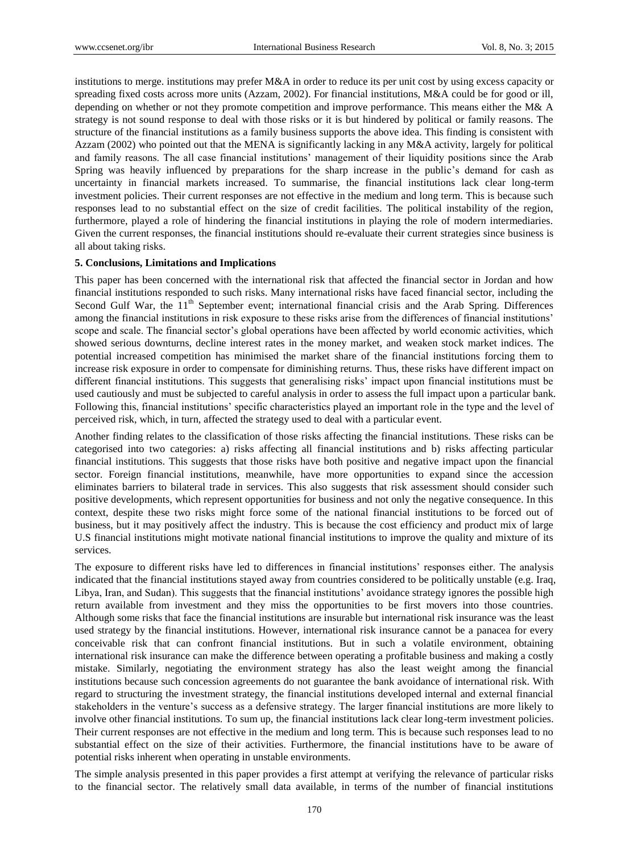institutions to merge. institutions may prefer M&A in order to reduce its per unit cost by using excess capacity or spreading fixed costs across more units (Azzam, 2002). For financial institutions, M&A could be for good or ill, depending on whether or not they promote competition and improve performance. This means either the M& A strategy is not sound response to deal with those risks or it is but hindered by political or family reasons. The structure of the financial institutions as a family business supports the above idea. This finding is consistent with Azzam (2002) who pointed out that the MENA is significantly lacking in any M&A activity, largely for political and family reasons. The all case financial institutions' management of their liquidity positions since the Arab Spring was heavily influenced by preparations for the sharp increase in the public's demand for cash as uncertainty in financial markets increased. To summarise, the financial institutions lack clear long-term investment policies. Their current responses are not effective in the medium and long term. This is because such responses lead to no substantial effect on the size of credit facilities. The political instability of the region, furthermore, played a role of hindering the financial institutions in playing the role of modern intermediaries. Given the current responses, the financial institutions should re-evaluate their current strategies since business is all about taking risks.

#### **5. Conclusions, Limitations and Implications**

This paper has been concerned with the international risk that affected the financial sector in Jordan and how financial institutions responded to such risks. Many international risks have faced financial sector, including the Second Gulf War, the 11<sup>th</sup> September event; international financial crisis and the Arab Spring. Differences among the financial institutions in risk exposure to these risks arise from the differences of financial institutions' scope and scale. The financial sector's global operations have been affected by world economic activities, which showed serious downturns, decline interest rates in the money market, and weaken stock market indices. The potential increased competition has minimised the market share of the financial institutions forcing them to increase risk exposure in order to compensate for diminishing returns. Thus, these risks have different impact on different financial institutions. This suggests that generalising risks' impact upon financial institutions must be used cautiously and must be subjected to careful analysis in order to assess the full impact upon a particular bank. Following this, financial institutions' specific characteristics played an important role in the type and the level of perceived risk, which, in turn, affected the strategy used to deal with a particular event.

Another finding relates to the classification of those risks affecting the financial institutions. These risks can be categorised into two categories: a) risks affecting all financial institutions and b) risks affecting particular financial institutions. This suggests that those risks have both positive and negative impact upon the financial sector. Foreign financial institutions, meanwhile, have more opportunities to expand since the accession eliminates barriers to bilateral trade in services. This also suggests that risk assessment should consider such positive developments, which represent opportunities for business and not only the negative consequence. In this context, despite these two risks might force some of the national financial institutions to be forced out of business, but it may positively affect the industry. This is because the cost efficiency and product mix of large U.S financial institutions might motivate national financial institutions to improve the quality and mixture of its services.

The exposure to different risks have led to differences in financial institutions' responses either. The analysis indicated that the financial institutions stayed away from countries considered to be politically unstable (e.g. Iraq, Libya, Iran, and Sudan). This suggests that the financial institutions' avoidance strategy ignores the possible high return available from investment and they miss the opportunities to be first movers into those countries. Although some risks that face the financial institutions are insurable but international risk insurance was the least used strategy by the financial institutions. However, international risk insurance cannot be a panacea for every conceivable risk that can confront financial institutions. But in such a volatile environment, obtaining international risk insurance can make the difference between operating a profitable business and making a costly mistake. Similarly, negotiating the environment strategy has also the least weight among the financial institutions because such concession agreements do not guarantee the bank avoidance of international risk. With regard to structuring the investment strategy, the financial institutions developed internal and external financial stakeholders in the venture's success as a defensive strategy. The larger financial institutions are more likely to involve other financial institutions. To sum up, the financial institutions lack clear long-term investment policies. Their current responses are not effective in the medium and long term. This is because such responses lead to no substantial effect on the size of their activities. Furthermore, the financial institutions have to be aware of potential risks inherent when operating in unstable environments.

The simple analysis presented in this paper provides a first attempt at verifying the relevance of particular risks to the financial sector. The relatively small data available, in terms of the number of financial institutions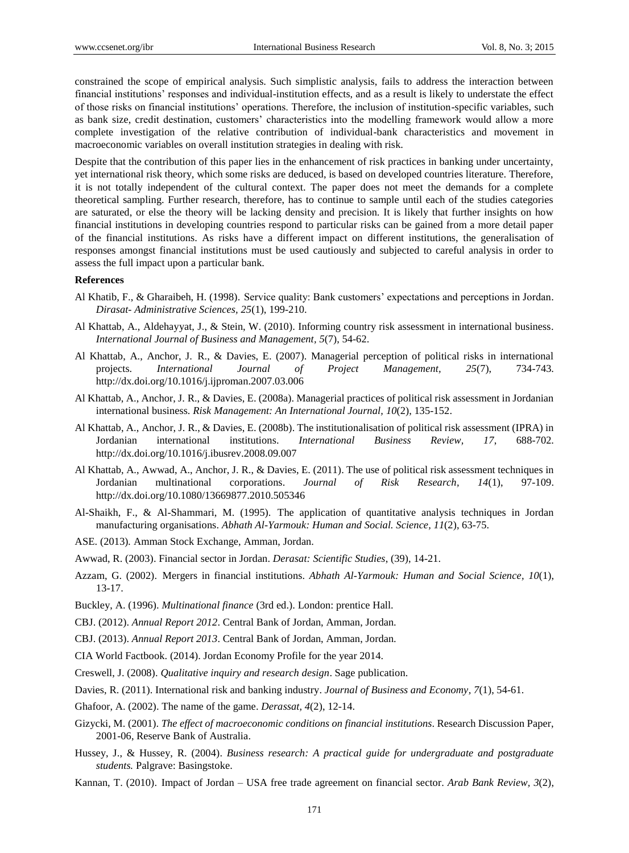constrained the scope of empirical analysis. Such simplistic analysis, fails to address the interaction between financial institutions' responses and individual-institution effects, and as a result is likely to understate the effect of those risks on financial institutions' operations. Therefore, the inclusion of institution-specific variables, such as bank size, credit destination, customers' characteristics into the modelling framework would allow a more complete investigation of the relative contribution of individual-bank characteristics and movement in macroeconomic variables on overall institution strategies in dealing with risk.

Despite that the contribution of this paper lies in the enhancement of risk practices in banking under uncertainty, yet international risk theory, which some risks are deduced, is based on developed countries literature. Therefore, it is not totally independent of the cultural context. The paper does not meet the demands for a complete theoretical sampling. Further research, therefore, has to continue to sample until each of the studies categories are saturated, or else the theory will be lacking density and precision. It is likely that further insights on how financial institutions in developing countries respond to particular risks can be gained from a more detail paper of the financial institutions. As risks have a different impact on different institutions, the generalisation of responses amongst financial institutions must be used cautiously and subjected to careful analysis in order to assess the full impact upon a particular bank.

#### **References**

- Al Khatib, F., & Gharaibeh, H. (1998). Service quality: Bank customers' expectations and perceptions in Jordan. *Dirasat- Administrative Sciences, 25*(1), 199-210.
- Al Khattab, A., Aldehayyat, J., & Stein, W. (2010). Informing country risk assessment in international business. *International Journal of Business and Management, 5*(7), 54-62.
- Al Khattab, A., Anchor, J. R., & Davies, E. (2007). Managerial perception of political risks in international projects. *International Journal of Project Management, 25*(7), 734-743. http://dx.doi.org/10.1016/j.ijproman.2007.03.006
- Al Khattab, A., Anchor, J. R., & Davies, E. (2008a). Managerial practices of political risk assessment in Jordanian international business. *Risk Management: An International Journal, 10*(2), 135-152.
- Al Khattab, A., Anchor, J. R., & Davies, E. (2008b). The institutionalisation of political risk assessment (IPRA) in Jordanian international institutions. *International Business Review, 17*, 688-702. http://dx.doi.org/10.1016/j.ibusrev.2008.09.007
- Al Khattab, A., Awwad, A., Anchor, J. R., & Davies, E. (2011). The use of political risk assessment techniques in Jordanian multinational corporations. *Journal of Risk Research, 14*(1), 97-109. http://dx.doi.org/10.1080/13669877.2010.505346
- Al-Shaikh, F., & Al-Shammari, M. (1995). The application of quantitative analysis techniques in Jordan manufacturing organisations. *Abhath Al-Yarmouk: Human and Social. Science, 11*(2), 63-75.
- ASE. (2013)*.* Amman Stock Exchange, Amman, Jordan.
- Awwad, R. (2003). Financial sector in Jordan. *Derasat: Scientific Studies*, (39), 14-21.
- Azzam, G. (2002). Mergers in financial institutions. *Abhath Al-Yarmouk: Human and Social Science, 10*(1), 13-17.
- Buckley, A. (1996). *Multinational finance* (3rd ed.). London: prentice Hall.
- CBJ. (2012). *Annual Report 2012*. Central Bank of Jordan, Amman, Jordan.

CBJ. (2013). *Annual Report 2013*. Central Bank of Jordan, Amman, Jordan.

- CIA World Factbook. (2014). Jordan Economy Profile for the year 2014.
- Creswell, J. (2008). *Qualitative inquiry and research design*. Sage publication.
- Davies, R. (2011). International risk and banking industry. *Journal of Business and Economy, 7*(1), 54-61.

Ghafoor, A. (2002). The name of the game. *Derassat, 4*(2), 12-14.

- Gizycki, M. (2001). *The effect of macroeconomic conditions on financial institutions*. Research Discussion Paper, 2001-06, Reserve Bank of Australia.
- Hussey, J., & Hussey, R. (2004). *Business research: A practical guide for undergraduate and postgraduate students.* Palgrave: Basingstoke.
- Kannan, T. (2010). Impact of Jordan USA free trade agreement on financial sector. *Arab Bank Review, 3*(2),